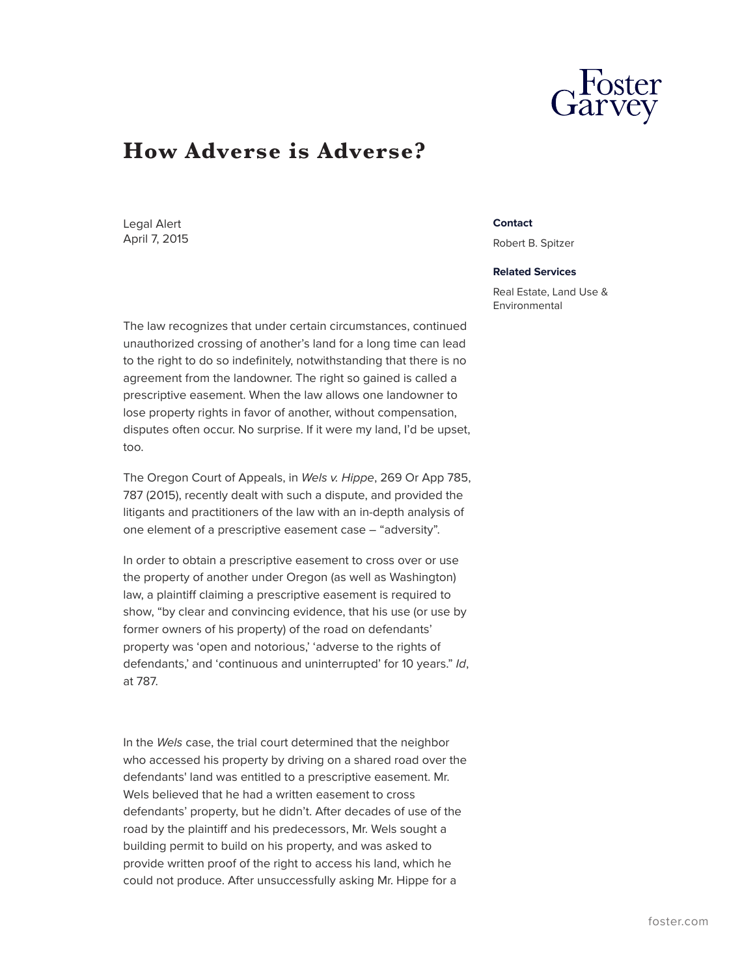## **How Adverse is Adverse?**

Legal Alert April 7, 2015

The law recognizes that under certain circumstances, continued unauthorized crossing of another's land for a long time can lead to the right to do so indefinitely, notwithstanding that there is no agreement from the landowner. The right so gained is called a prescriptive easement. When the law allows one landowner to lose property rights in favor of another, without compensation, disputes often occur. No surprise. If it were my land, I'd be upset, too.

The Oregon Court of Appeals, in *Wels v. Hippe*, 269 Or App 785, 787 (2015), recently dealt with such a dispute, and provided the litigants and practitioners of the law with an in-depth analysis of one element of a prescriptive easement case – "adversity".

In order to obtain a prescriptive easement to cross over or use the property of another under Oregon (as well as Washington) law, a plaintiff claiming a prescriptive easement is required to show, "by clear and convincing evidence, that his use (or use by former owners of his property) of the road on defendants' property was 'open and notorious,' 'adverse to the rights of defendants,' and 'continuous and uninterrupted' for 10 years." *Id*, at 787.

In the *Wels* case, the trial court determined that the neighbor who accessed his property by driving on a shared road over the defendants' land was entitled to a prescriptive easement. Mr. Wels believed that he had a written easement to cross defendants' property, but he didn't. After decades of use of the road by the plaintiff and his predecessors, Mr. Wels sought a building permit to build on his property, and was asked to provide written proof of the right to access his land, which he could not produce. After unsuccessfully asking Mr. Hippe for a

## **Contact**

Robert B. Spitzer

## **Related Services**

Real Estate, Land Use & Environmental

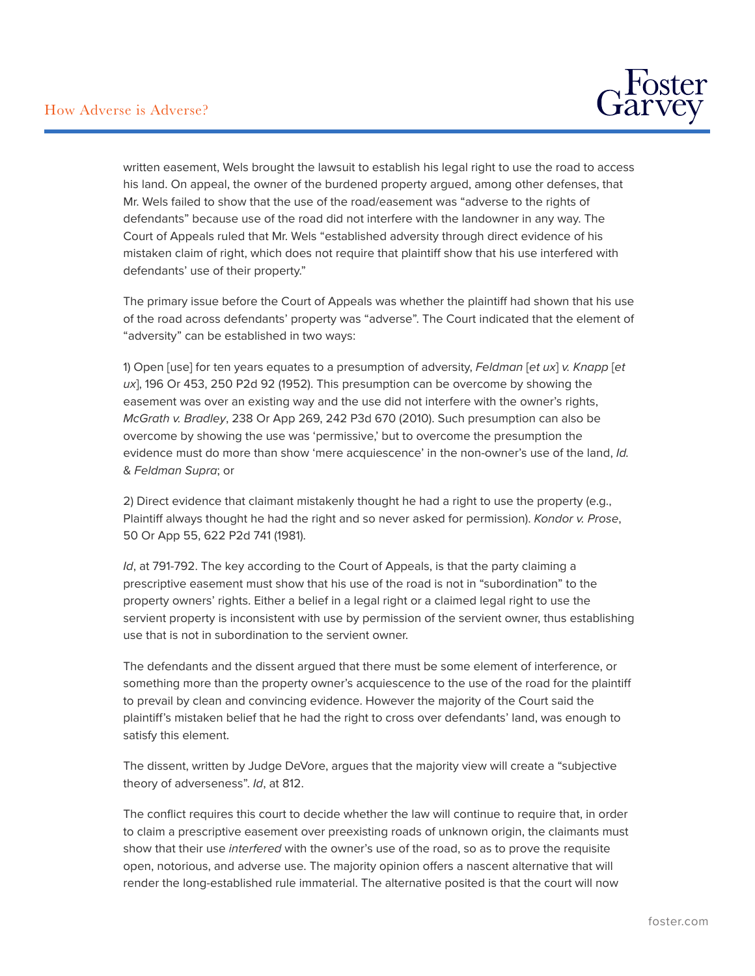

written easement, Wels brought the lawsuit to establish his legal right to use the road to access his land. On appeal, the owner of the burdened property argued, among other defenses, that Mr. Wels failed to show that the use of the road/easement was "adverse to the rights of defendants" because use of the road did not interfere with the landowner in any way. The Court of Appeals ruled that Mr. Wels "established adversity through direct evidence of his mistaken claim of right, which does not require that plaintiff show that his use interfered with defendants' use of their property."

The primary issue before the Court of Appeals was whether the plaintiff had shown that his use of the road across defendants' property was "adverse". The Court indicated that the element of "adversity" can be established in two ways:

1) Open [use] for ten years equates to a presumption of adversity, *Feldman* [*et ux*] *v. Knapp* [*et ux*], 196 Or 453, 250 P2d 92 (1952). This presumption can be overcome by showing the easement was over an existing way and the use did not interfere with the owner's rights, *McGrath v. Bradley*, 238 Or App 269, 242 P3d 670 (2010). Such presumption can also be overcome by showing the use was 'permissive,' but to overcome the presumption the evidence must do more than show 'mere acquiescence' in the non-owner's use of the land, *Id.* & *Feldman Supra*; or

2) Direct evidence that claimant mistakenly thought he had a right to use the property (e.g., Plaintiff always thought he had the right and so never asked for permission). *Kondor v. Prose*, 50 Or App 55, 622 P2d 741 (1981).

*Id*, at 791-792. The key according to the Court of Appeals, is that the party claiming a prescriptive easement must show that his use of the road is not in "subordination" to the property owners' rights. Either a belief in a legal right or a claimed legal right to use the servient property is inconsistent with use by permission of the servient owner, thus establishing use that is not in subordination to the servient owner.

The defendants and the dissent argued that there must be some element of interference, or something more than the property owner's acquiescence to the use of the road for the plaintiff to prevail by clean and convincing evidence. However the majority of the Court said the plaintiff's mistaken belief that he had the right to cross over defendants' land, was enough to satisfy this element.

The dissent, written by Judge DeVore, argues that the majority view will create a "subjective theory of adverseness". *Id*, at 812.

The conflict requires this court to decide whether the law will continue to require that, in order to claim a prescriptive easement over preexisting roads of unknown origin, the claimants must show that their use *interfered* with the owner's use of the road, so as to prove the requisite open, notorious, and adverse use. The majority opinion offers a nascent alternative that will render the long-established rule immaterial. The alternative posited is that the court will now